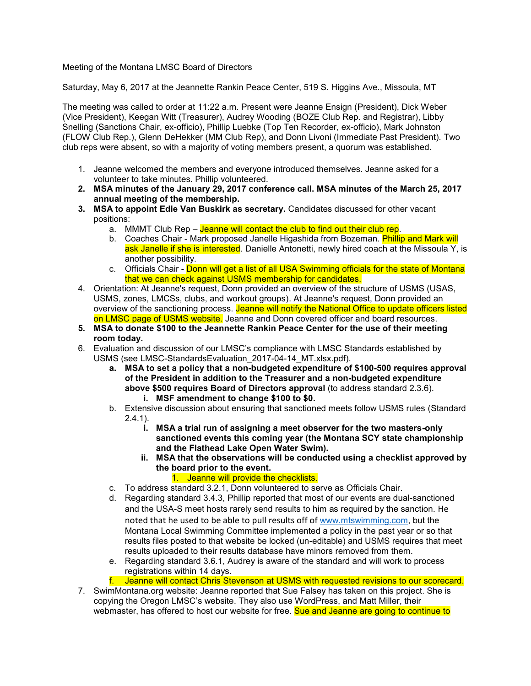## Meeting of the Montana LMSC Board of Directors

Saturday, May 6, 2017 at the Jeannette Rankin Peace Center, 519 S. Higgins Ave., Missoula, MT

The meeting was called to order at 11:22 a.m. Present were Jeanne Ensign (President), Dick Weber (Vice President), Keegan Witt (Treasurer), Audrey Wooding (BOZE Club Rep. and Registrar), Libby Snelling (Sanctions Chair, ex-officio), Phillip Luebke (Top Ten Recorder, ex-officio), Mark Johnston (FLOW Club Rep.), Glenn DeHekker (MM Club Rep), and Donn Livoni (Immediate Past President). Two club reps were absent, so with a majority of voting members present, a quorum was established.

- 1. Jeanne welcomed the members and everyone introduced themselves. Jeanne asked for a volunteer to take minutes. Phillip volunteered.
- **2. MSA minutes of the January 29, 2017 conference call. MSA minutes of the March 25, 2017 annual meeting of the membership.**
- **3. MSA to appoint Edie Van Buskirk as secretary.** Candidates discussed for other vacant positions:
	- a. MMMT Club Rep Jeanne will contact the club to find out their club rep.
	- b. Coaches Chair Mark proposed Janelle Higashida from Bozeman. Phillip and Mark will ask Janelle if she is interested. Danielle Antonetti, newly hired coach at the Missoula Y, is another possibility.
	- c. Officials Chair Donn will get a list of all USA Swimming officials for the state of Montana that we can check against USMS membership for candidates.
- 4. Orientation: At Jeanne's request, Donn provided an overview of the structure of USMS (USAS, USMS, zones, LMCSs, clubs, and workout groups). At Jeanne's request, Donn provided an overview of the sanctioning process. Jeanne will notify the National Office to update officers listed on LMSC page of USMS website. Jeanne and Donn covered officer and board resources.
- **5. MSA to donate \$100 to the Jeannette Rankin Peace Center for the use of their meeting room today.**
- 6. Evaluation and discussion of our LMSC's compliance with LMSC Standards established by USMS (see LMSC-StandardsEvaluation\_2017-04-14\_MT.xlsx.pdf).
	- **a. MSA to set a policy that a non-budgeted expenditure of \$100-500 requires approval of the President in addition to the Treasurer and a non-budgeted expenditure above \$500 requires Board of Directors approval** (to address standard 2.3.6).
		- **i. MSF amendment to change \$100 to \$0.**
	- b. Extensive discussion about ensuring that sanctioned meets follow USMS rules (Standard  $2.4.1$ ).
		- **i. MSA a trial run of assigning a meet observer for the two masters-only sanctioned events this coming year (the Montana SCY state championship and the Flathead Lake Open Water Swim).**
		- **ii. MSA that the observations will be conducted using a checklist approved by the board prior to the event.**
			- 1. Jeanne will provide the checklists.
	- c. To address standard 3.2.1, Donn volunteered to serve as Officials Chair.
	- d. Regarding standard 3.4.3, Phillip reported that most of our events are dual-sanctioned and the USA-S meet hosts rarely send results to him as required by the sanction. He noted that he used to be able to pull results off of [www.mtswimming.com,](http://www.mtswimming.com/) but the Montana Local Swimming Committee implemented a policy in the past year or so that results files posted to that website be locked (un-editable) and USMS requires that meet results uploaded to their results database have minors removed from them.
	- e. Regarding standard 3.6.1, Audrey is aware of the standard and will work to process registrations within 14 days.
	- f. Jeanne will contact Chris Stevenson at USMS with requested revisions to our scorecard.
- 7. SwimMontana.org website: Jeanne reported that Sue Falsey has taken on this project. She is copying the Oregon LMSC's website. They also use WordPress, and Matt Miller, their webmaster, has offered to host our website for free. Sue and Jeanne are going to continue to